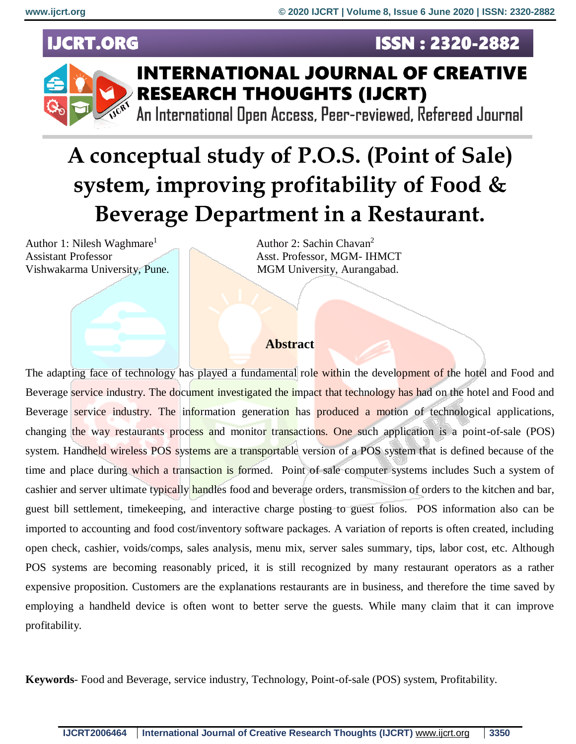**ISSN: 2320-2882** 

# **IJCRT.ORG**



# **INTERNATIONAL JOURNAL OF CREATIVE RESEARCH THOUGHTS (IJCRT)**

An International Open Access, Peer-reviewed, Refereed Journal

# **A conceptual study of P.O.S. (Point of Sale) system, improving profitability of Food & Beverage Department in a Restaurant.**

Author 1: Nilesh Waghmare<sup>1</sup> Assistant Professor Asst. Professor, MGM- IHMCT Vishwakarma University, Pune. MGM University, Aurangabad.

Author 2: Sachin Chavan<sup>2</sup>

#### **Abstract**

The adapting face of technology has played a fundamental role within the development of the hotel and Food and Beverage service industry. The document investigated the impact that technology has had on the hotel and Food and Beverage service industry. The information generation has **produced a motion** of technological applications, changing the way restaurants process and monitor transactions. One such application is a point-of-sale (POS) system. Handheld wireless POS systems are a transportable version of a POS system that is defined because of the time and place during which a transaction is formed. Point of sale computer systems includes Such a system of cashier and server ultimate typically handles food and beverage orders, transmission of orders to the kitchen and bar, guest bill settlement, timekeeping, and interactive charge posting to guest folios. POS information also can be imported to accounting and food cost/inventory software packages. A variation of reports is often created, including open check, cashier, voids/comps, sales analysis, menu mix, server sales summary, tips, labor cost, etc. Although POS systems are becoming reasonably priced, it is still recognized by many restaurant operators as a rather expensive proposition. Customers are the explanations restaurants are in business, and therefore the time saved by employing a handheld device is often wont to better serve the guests. While many claim that it can improve profitability.

**Keywords**- Food and Beverage, service industry, Technology, Point-of-sale (POS) system, Profitability.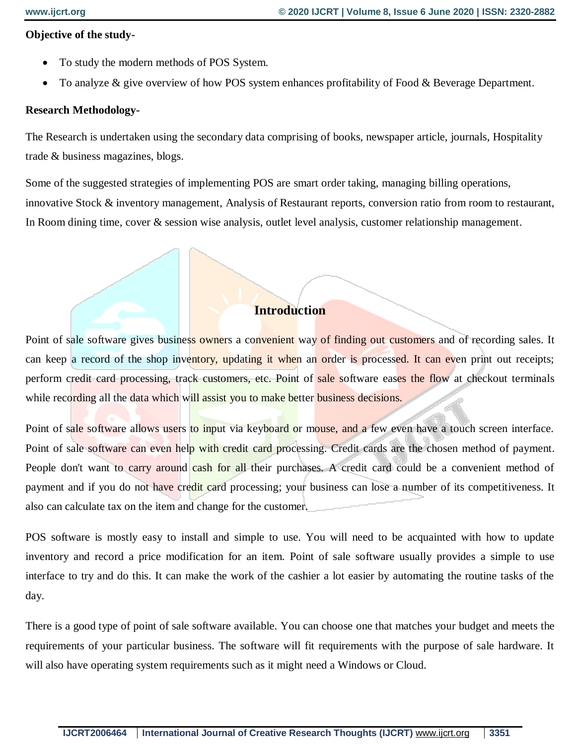#### **Objective of the study-**

- To study the modern methods of POS System.
- To analyze & give overview of how POS system enhances profitability of Food & Beverage Department.

#### **Research Methodology-**

The Research is undertaken using the secondary data comprising of books, newspaper article, journals, Hospitality trade & business magazines, blogs.

Some of the suggested strategies of implementing POS are smart order taking, managing billing operations, innovative Stock & inventory management, Analysis of Restaurant reports, conversion ratio from room to restaurant, In Room dining time, cover & session wise analysis, outlet level analysis, customer relationship management.

### **Introduction**

Point of sale software gives business owners a convenient way of finding out customers and of recording sales. It can keep a record of the shop inventory, updating it when an order is processed. It can even print out receipts; perform credit card processing, track customers, etc. Point of sale software eases the flow at checkout terminals while recording all the data which will assist you to make better business decisions.

Point of sale software allows users to input via keyboard or mouse, and a few even have a touch screen interface. Point of sale software can even help with credit card processing. Credit cards are the chosen method of payment. People don't want to carry around cash for all their purchases. A credit card could be a convenient method of payment and if you do not have credit card processing; your business can lose a number of its competitiveness. It also can calculate tax on the item and change for the customer.

POS software is mostly easy to install and simple to use. You will need to be acquainted with how to update inventory and record a price modification for an item. Point of sale software usually provides a simple to use interface to try and do this. It can make the work of the cashier a lot easier by automating the routine tasks of the day.

There is a good type of point of sale software available. You can choose one that matches your budget and meets the requirements of your particular business. The software will fit requirements with the purpose of sale hardware. It will also have operating system requirements such as it might need a Windows or Cloud.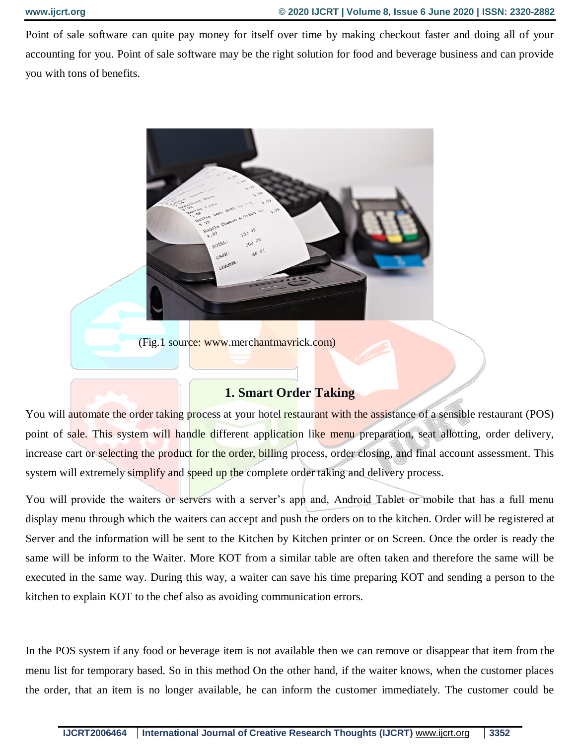Point of sale software can quite pay money for itself over time by making checkout faster and doing all of your accounting for you. Point of sale software may be the right solution for food and beverage business and can provide you with tons of benefits.



(Fig.1 source: www.merchantmavrick.com)

#### **1. Smart Order Taking**

You will automate the order taking process at your hotel restaurant with the assistance of a sensible restaurant (POS) point of sale. This system will handle different application like menu preparation, seat allotting, order delivery, increase cart or selecting the product for the order, billing process, order closing, and final account assessment. This system will extremely simplify and speed up the complete order taking and delivery process.

You will provide the waiters or servers with a server's app and, Android Tablet or mobile that has a full menu display menu through which the waiters can accept and push the orders on to the kitchen. Order will be registered at Server and the information will be sent to the Kitchen by Kitchen printer or on Screen. Once the order is ready the same will be inform to the Waiter. More KOT from a similar table are often taken and therefore the same will be executed in the same way. During this way, a waiter can save his time preparing KOT and sending a person to the kitchen to explain KOT to the chef also as avoiding communication errors.

In the POS system if any food or beverage item is not available then we can remove or disappear that item from the menu list for temporary based. So in this method On the other hand, if the waiter knows, when the customer places the order, that an item is no longer available, he can inform the customer immediately. The customer could be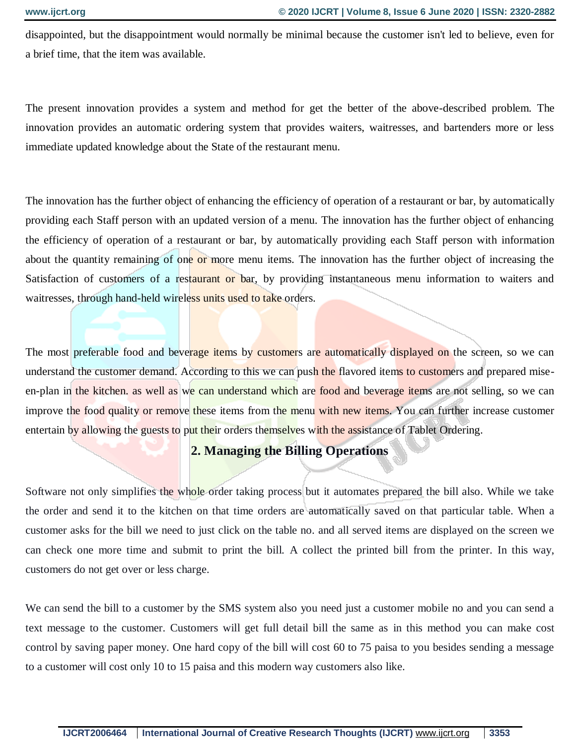disappointed, but the disappointment would normally be minimal because the customer isn't led to believe, even for a brief time, that the item was available.

The present innovation provides a system and method for get the better of the above-described problem. The innovation provides an automatic ordering system that provides waiters, waitresses, and bartenders more or less immediate updated knowledge about the State of the restaurant menu.

The innovation has the further object of enhancing the efficiency of operation of a restaurant or bar, by automatically providing each Staff person with an updated version of a menu. The innovation has the further object of enhancing the efficiency of operation of a restaurant or bar, by automatically providing each Staff person with information about the quantity remaining of one or more menu items. The innovation has the further object of increasing the Satisfaction of customers of a restaurant or bar, by providing instantaneous menu information to waiters and waitresses, through hand-held wireless units used to take orders.

The most preferable food and beverage items by customers are automatically displayed on the screen, so we can understand the customer demand. According to this we can push the flavored items to customers and prepared miseen-plan in the kitchen, as well as we can understand which are food and beverage items are not selling, so we can improve the food quality or remove these items from the menu with new items. You can further increase customer entertain by allowing the guests to put their orders themselves with the assistance of Tablet Ordering.

# **2. Managing the Billing Operations**

Software not only simplifies the whole order taking process but it automates prepared the bill also. While we take the order and send it to the kitchen on that time orders are automatically saved on that particular table. When a customer asks for the bill we need to just click on the table no. and all served items are displayed on the screen we can check one more time and submit to print the bill. A collect the printed bill from the printer. In this way, customers do not get over or less charge.

We can send the bill to a customer by the SMS system also you need just a customer mobile no and you can send a text message to the customer. Customers will get full detail bill the same as in this method you can make cost control by saving paper money. One hard copy of the bill will cost 60 to 75 paisa to you besides sending a message to a customer will cost only 10 to 15 paisa and this modern way customers also like.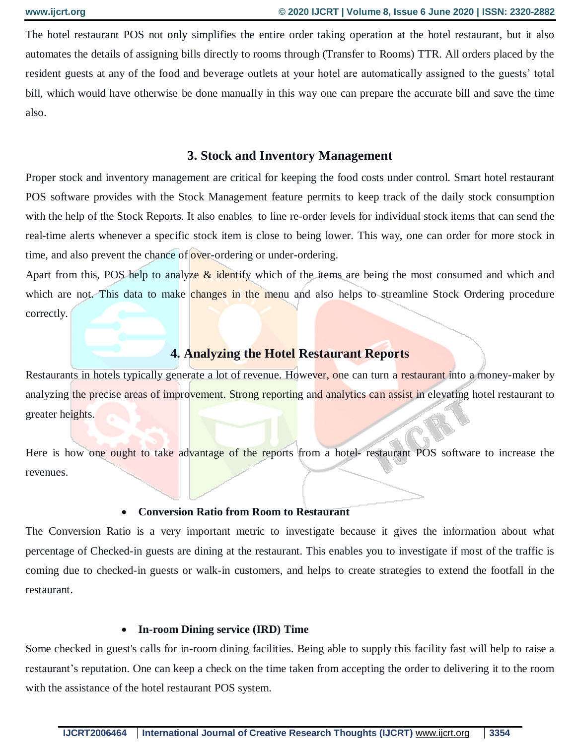The hotel restaurant POS not only simplifies the entire order taking operation at the hotel restaurant, but it also automates the details of assigning bills directly to rooms through (Transfer to Rooms) TTR. All orders placed by the resident guests at any of the food and beverage outlets at your hotel are automatically assigned to the guests' total bill, which would have otherwise be done manually in this way one can prepare the accurate bill and save the time also.

#### **3. Stock and Inventory Management**

Proper stock and inventory management are critical for keeping the food costs under control. Smart hotel restaurant POS software provides with the Stock Management feature permits to keep track of the daily stock consumption with the help of the Stock Reports. It also enables to line re-order levels for individual stock items that can send the real-time alerts whenever a specific stock item is close to being lower. This way, one can order for more stock in time, and also prevent the chance of over-ordering or under-ordering.

Apart from this, POS help to analyze  $\&$  identify which of the items are being the most consumed and which and which are not. This data to make changes in the menu and also helps to streamline Stock Ordering procedure correctly.

# **4. Analyzing the Hotel Restaurant Reports**

Restaurants in hotels typically generate a lot of revenue. However, one can turn a restaurant into a money-maker by analyzing the precise areas of improvement. Strong reporting and analytics can assist in elevating hotel restaurant to greater heights.

Here is how one ought to take advantage of the reports from a hotel- restaurant POS software to increase the revenues.

#### **Conversion Ratio from Room to Restaurant**

The Conversion Ratio is a very important metric to investigate because it gives the information about what percentage of Checked-in guests are dining at the restaurant. This enables you to investigate if most of the traffic is coming due to checked-in guests or walk-in customers, and helps to create strategies to extend the footfall in the restaurant.

#### **In-room Dining service (IRD) Time**

Some checked in guest's calls for in-room dining facilities. Being able to supply this facility fast will help to raise a restaurant's reputation. One can keep a check on the time taken from accepting the order to delivering it to the room with the assistance of the hotel restaurant POS system.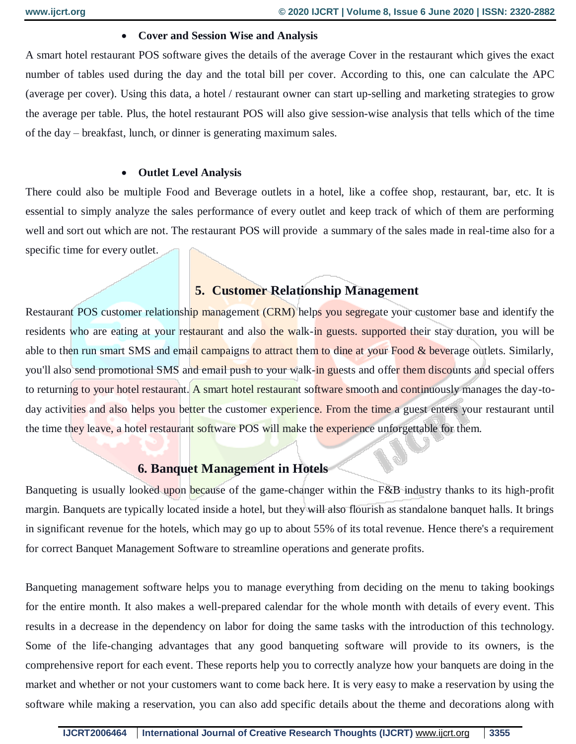#### **Cover and Session Wise and Analysis**

A smart hotel restaurant POS software gives the details of the average Cover in the restaurant which gives the exact number of tables used during the day and the total bill per cover. According to this, one can calculate the APC (average per cover). Using this data, a hotel / restaurant owner can start up-selling and marketing strategies to grow the average per table. Plus, the hotel restaurant POS will also give session-wise analysis that tells which of the time of the day – breakfast, lunch, or dinner is generating maximum sales.

#### **Outlet Level Analysis**

There could also be multiple Food and Beverage outlets in a hotel, like a coffee shop, restaurant, bar, etc. It is essential to simply analyze the sales performance of every outlet and keep track of which of them are performing well and sort out which are not. The restaurant POS will provide a summary of the sales made in real-time also for a specific time for every outlet.

### **5. Customer Relationship Management**

Restaurant POS customer relationship management (CRM) helps you segregate your customer base and identify the residents who are eating at your restaurant and also the walk-in guests, supported their stay duration, you will be able to then run smart SMS and email campaigns to attract them to dine at your Food & beverage outlets. Similarly, you'll also send promotional SMS and email push to your walk-in guests and offer them discounts and special offers to returning to your hotel restaurant. A smart hotel restaurant software smooth and continuously manages the day-today activities and also helps you better the customer experience. From the time a guest enters your restaurant until the time they leave, a hotel restaurant software POS will make the experience unforgettable for them.

# **6. Banquet Management in Hotels**

Banqueting is usually looked upon because of the game-changer within the F&B industry thanks to its high-profit margin. Banquets are typically located inside a hotel, but they will also flourish as standalone banquet halls. It brings in significant revenue for the hotels, which may go up to about 55% of its total revenue. Hence there's a requirement for correct Banquet Management Software to streamline operations and generate profits.

Banqueting management software helps you to manage everything from deciding on the menu to taking bookings for the entire month. It also makes a well-prepared calendar for the whole month with details of every event. This results in a decrease in the dependency on labor for doing the same tasks with the introduction of this technology. Some of the life-changing advantages that any good banqueting software will provide to its owners, is the comprehensive report for each event. These reports help you to correctly analyze how your banquets are doing in the market and whether or not your customers want to come back here. It is very easy to make a reservation by using the software while making a reservation, you can also add specific details about the theme and decorations along with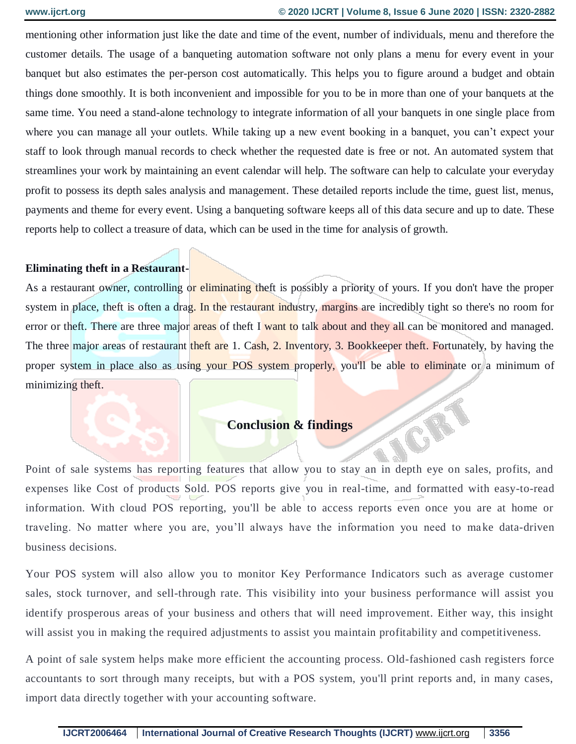TORY

mentioning other information just like the date and time of the event, number of individuals, menu and therefore the customer details. The usage of a banqueting automation software not only plans a menu for every event in your banquet but also estimates the per-person cost automatically. This helps you to figure around a budget and obtain things done smoothly. It is both inconvenient and impossible for you to be in more than one of your banquets at the same time. You need a stand-alone technology to integrate information of all your banquets in one single place from where you can manage all your outlets. While taking up a new event booking in a banquet, you can't expect your staff to look through manual records to check whether the requested date is free or not. An automated system that streamlines your work by maintaining an event calendar will help. The software can help to calculate your everyday profit to possess its depth sales analysis and management. These detailed reports include the time, guest list, menus, payments and theme for every event. Using a banqueting software keeps all of this data secure and up to date. These reports help to collect a treasure of data, which can be used in the time for analysis of growth.

#### **Eliminating theft in a Restaurant-**

As a restaurant owner, controlling or eliminating theft is possibly a priority of yours. If you don't have the proper system in place, theft is often a drag. In the restaurant industry, margins are incredibly tight so there's no room for error or theft. There are three major areas of theft I want to talk about and they all can be monitored and managed. The three major areas of restaurant theft are 1. Cash, 2. Inventory, 3. Bookkeeper theft. Fortunately, by having the proper system in place also as using your POS system properly, you'll be able to eliminate or a minimum of minimizing theft.

# **Conclusion & findings**

Point of sale systems has reporting features that allow you to stay an in depth eye on sales, profits, and expenses like Cost of products Sold. POS reports give you in real-time, and formatted with easy-to-read information. With cloud POS reporting, you'll be able to access reports even once you are at home or traveling. No matter where you are, you'll always have the information you need to make data-driven business decisions.

Your POS system will also allow you to monitor Key Performance Indicators such as average customer sales, stock turnover, and sell-through rate. This visibility into your business performance will assist you identify prosperous areas of your business and others that will need improvement. Either way, this insight will assist you in making the required adjustments to assist you maintain profitability and competitiveness.

A point of sale system helps make more efficient the accounting process. Old-fashioned cash registers force accountants to sort through many receipts, but with a POS system, you'll print reports and, in many cases, import data directly together with your accounting software.